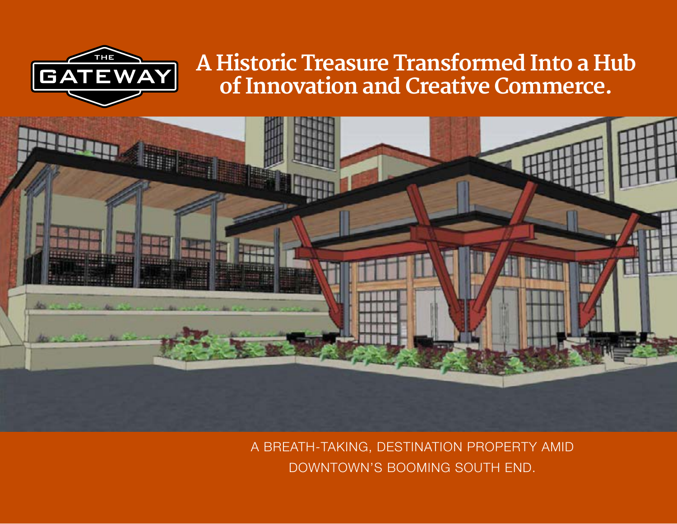

## **A Historic Treasure Transformed Into a Hub of Innovation and Creative Commerce.**



A BREATH-TAKING, DESTINATION PROPERTY AMID DOWNTOWN'S BOOMING SOUTH END.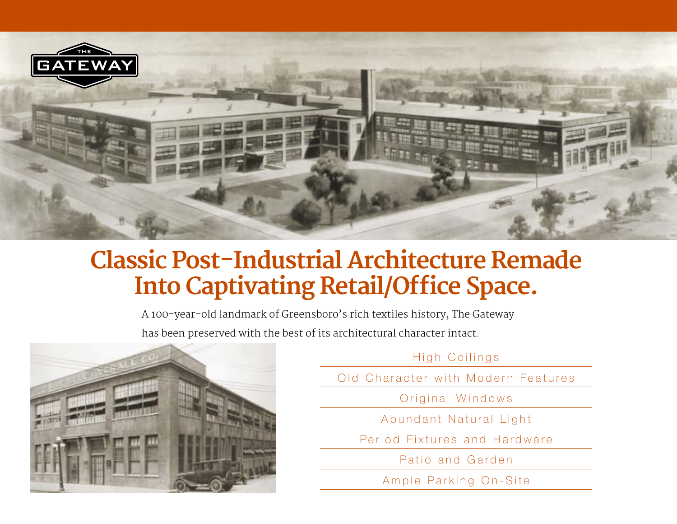

# **Classic Post-Industrial Architecture Remade Into Captivating Retail/Office Space.**

A 100-year-old landmark of Greensboro's rich textiles history, The Gateway has been preserved with the best of its architectural character intact.



High Ceilings

Old Character with Modern Features

Original Windows

Abundant Natural Light

Period Fixtures and Hardware

Patio and Garden

Ample Parking On-Site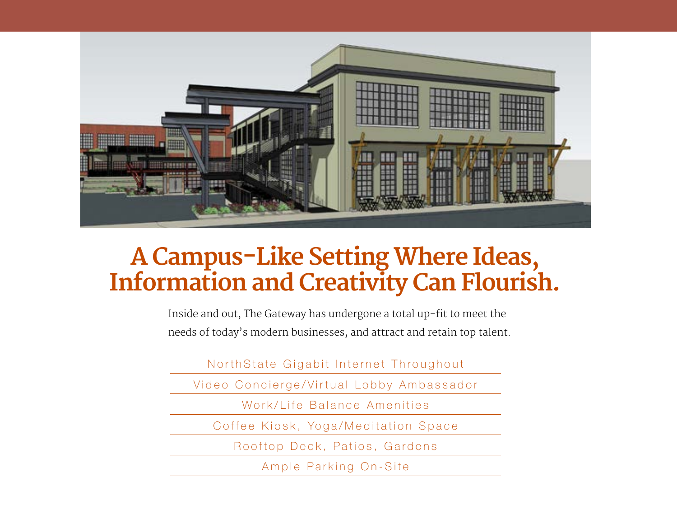

# **A Campus-Like Setting Where Ideas, Information and Creativity Can Flourish.**

Inside and out, The Gateway has undergone a total up-fit to meet the needs of today's modern businesses, and attract and retain top talent.

NorthState Gigabit Internet Throughout

Video Concierge/Virtual Lobby Ambassador

Work/Life Balance Amenities

Coffee Kiosk, Yoga/Meditation Space

Rooftop Deck, Patios, Gardens

Ample Parking On-Site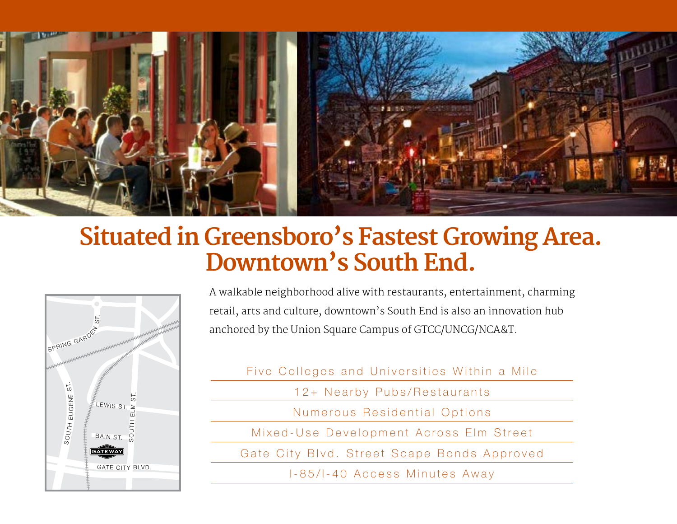

# **Situated in Greensboro's Fastest Growing Area. Downtown's South End.**



A walkable neighborhood alive with restaurants, entertainment, charming retail, arts and culture, downtown's South End is also an innovation hub anchored by the Union Square Campus of GTCC/UNCG/NCA&T.

- Five Colleges and Universities Within a Mile
	- 12+ Nearby Pubs/Restaurants
	- Numerous Residential Options
- Mixed-Use Development Across Elm Street
- Gate City Blvd. Street Scape Bonds Approved
	- I-85/I-40 Access Minutes Away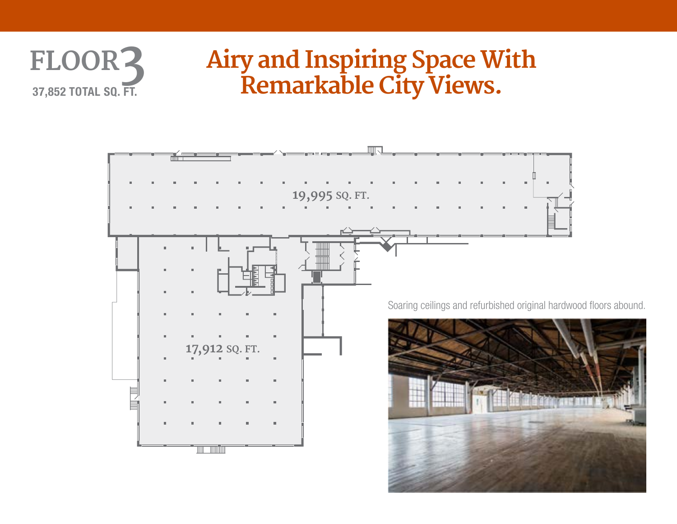# **FLOOR3 37,852 TOTAL SQ. FT.**

# **Airy and Inspiring Space With Remarkable City Views.**

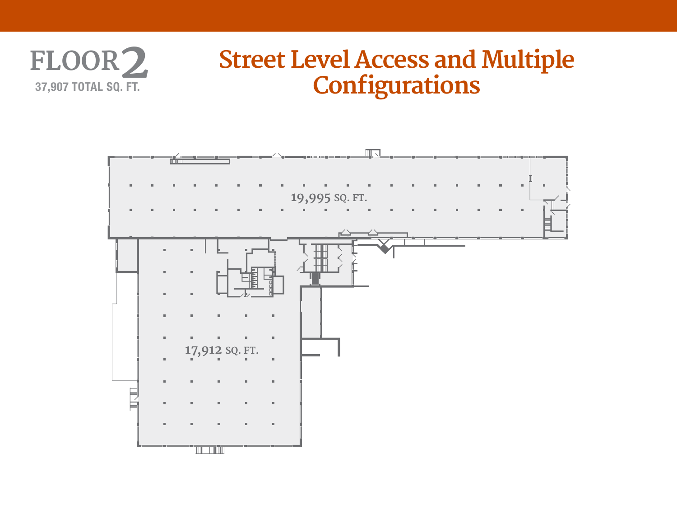

# **Street Level Access and Multiple Configurations**

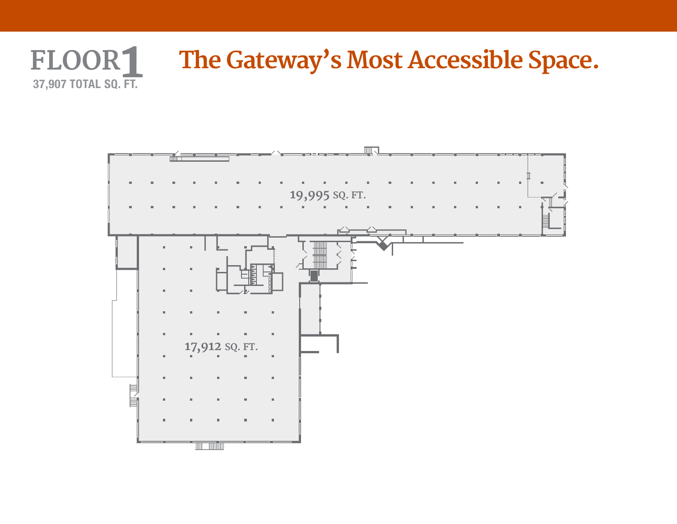### **FLOOR1 The Gateway's Most Accessible Space. 37,907 TOTAL SQ. FT.**